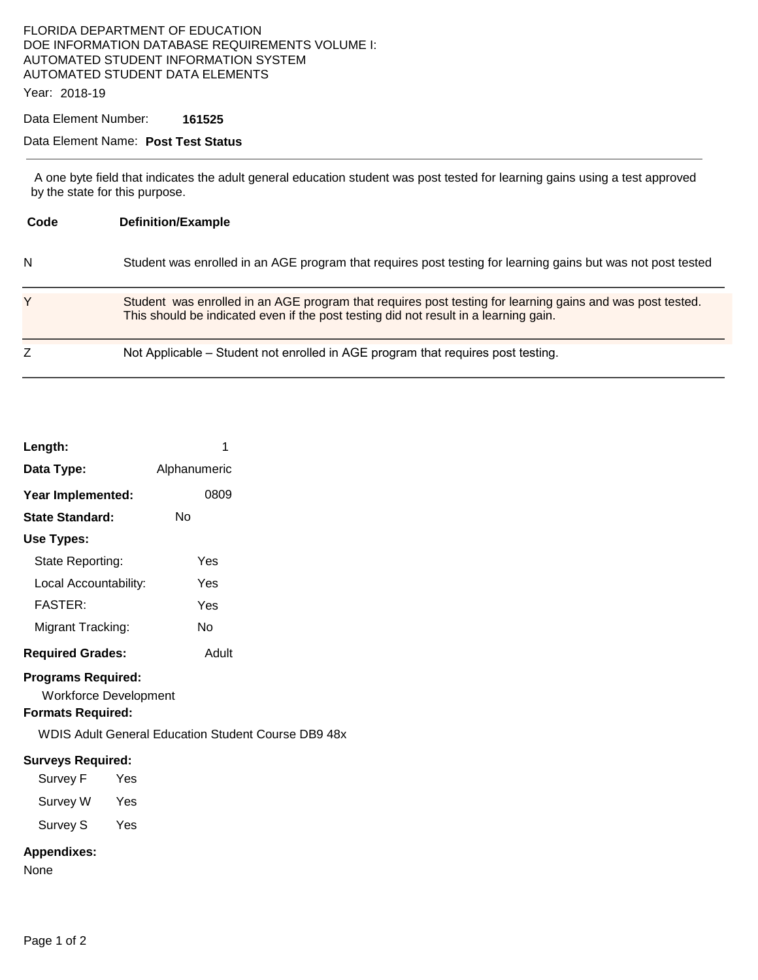# FLORIDA DEPARTMENT OF EDUCATION DOE INFORMATION DATABASE REQUIREMENTS VOLUME I: AUTOMATED STUDENT INFORMATION SYSTEM AUTOMATED STUDENT DATA ELEMENTS

Year: 2018-19

# Data Element Number: **161525**

# Data Element Name: **Post Test Status**

 A one byte field that indicates the adult general education student was post tested for learning gains using a test approved by the state for this purpose.

| Code | <b>Definition/Example</b>                                                                                                                                                                         |
|------|---------------------------------------------------------------------------------------------------------------------------------------------------------------------------------------------------|
| N    | Student was enrolled in an AGE program that requires post testing for learning gains but was not post tested                                                                                      |
| Y    | Student was enrolled in an AGE program that requires post testing for learning gains and was post tested.<br>This should be indicated even if the post testing did not result in a learning gain. |
|      | Not Applicable – Student not enrolled in AGE program that requires post testing.                                                                                                                  |

| Length:                                                                               | 1                                                          |
|---------------------------------------------------------------------------------------|------------------------------------------------------------|
| Data Type:                                                                            | Alphanumeric                                               |
| Year Implemented:                                                                     | 0809                                                       |
| <b>State Standard:</b>                                                                | Nο                                                         |
| <b>Use Types:</b>                                                                     |                                                            |
| State Reporting:                                                                      | Yes                                                        |
| Local Accountability:                                                                 | Yes                                                        |
| <b>FASTER:</b>                                                                        | Yes                                                        |
| Migrant Tracking:                                                                     | No                                                         |
| <b>Required Grades:</b>                                                               | Adult                                                      |
| <b>Programs Required:</b><br><b>Workforce Development</b><br><b>Formats Required:</b> | <b>WDIS Adult General Education Student Course DB9 48x</b> |
| <b>Surveys Required:</b>                                                              |                                                            |
| Survey F<br>Yes                                                                       |                                                            |
| Survey W Yes                                                                          |                                                            |
| Survey S<br>Yes                                                                       |                                                            |
| <b>Appendixes:</b><br>None                                                            |                                                            |